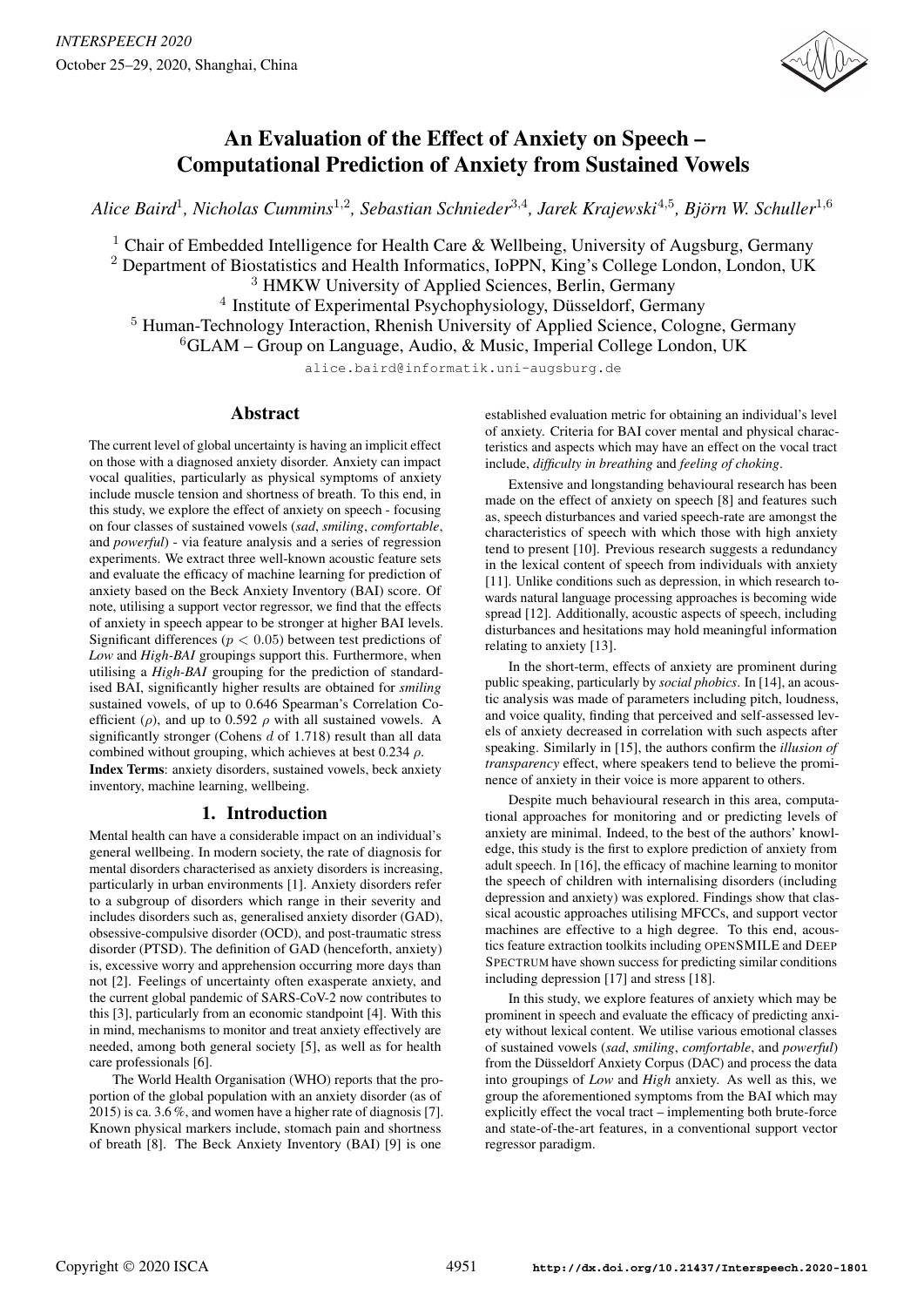

# An Evaluation of the Effect of Anxiety on Speech – Computational Prediction of Anxiety from Sustained Vowels

*Alice Baird*<sup>1</sup> *, Nicholas Cummins*<sup>1</sup>,<sup>2</sup> *, Sebastian Schnieder*<sup>3</sup>,<sup>4</sup> *, Jarek Krajewski* 4,5 *, Bjorn W. Schuller ¨* 1,6

<sup>1</sup> Chair of Embedded Intelligence for Health Care & Wellbeing, University of Augsburg, Germany

<sup>2</sup> Department of Biostatistics and Health Informatics, IoPPN, King's College London, London, UK

<sup>3</sup> HMKW University of Applied Sciences, Berlin, Germany

<sup>4</sup> Institute of Experimental Psychophysiology, Düsseldorf, Germany

<sup>5</sup> Human-Technology Interaction, Rhenish University of Applied Science, Cologne, Germany

 ${}^{6}$ GLAM – Group on Language, Audio, & Music, Imperial College London, UK

alice.baird@informatik.uni-augsburg.de

## Abstract

The current level of global uncertainty is having an implicit effect on those with a diagnosed anxiety disorder. Anxiety can impact vocal qualities, particularly as physical symptoms of anxiety include muscle tension and shortness of breath. To this end, in this study, we explore the effect of anxiety on speech - focusing on four classes of sustained vowels (*sad*, *smiling*, *comfortable*, and *powerful*) - via feature analysis and a series of regression experiments. We extract three well-known acoustic feature sets and evaluate the efficacy of machine learning for prediction of anxiety based on the Beck Anxiety Inventory (BAI) score. Of note, utilising a support vector regressor, we find that the effects of anxiety in speech appear to be stronger at higher BAI levels. Significant differences ( $p < 0.05$ ) between test predictions of *Low* and *High-BAI* groupings support this. Furthermore, when utilising a *High-BAI* grouping for the prediction of standardised BAI, significantly higher results are obtained for *smiling* sustained vowels, of up to 0.646 Spearman's Correlation Coefficient ( $\rho$ ), and up to 0.592  $\rho$  with all sustained vowels. A significantly stronger (Cohens  $d$  of 1.718) result than all data combined without grouping, which achieves at best 0.234  $\rho$ . Index Terms: anxiety disorders, sustained vowels, beck anxiety inventory, machine learning, wellbeing.

# 1. Introduction

Mental health can have a considerable impact on an individual's general wellbeing. In modern society, the rate of diagnosis for mental disorders characterised as anxiety disorders is increasing, particularly in urban environments [1]. Anxiety disorders refer to a subgroup of disorders which range in their severity and includes disorders such as, generalised anxiety disorder (GAD), obsessive-compulsive disorder (OCD), and post-traumatic stress disorder (PTSD). The definition of GAD (henceforth, anxiety) is, excessive worry and apprehension occurring more days than not [2]. Feelings of uncertainty often exasperate anxiety, and the current global pandemic of SARS-CoV-2 now contributes to this [3], particularly from an economic standpoint [4]. With this in mind, mechanisms to monitor and treat anxiety effectively are needed, among both general society [5], as well as for health care professionals [6].

The World Health Organisation (WHO) reports that the proportion of the global population with an anxiety disorder (as of 2015) is ca. 3.6 %, and women have a higher rate of diagnosis [7]. Known physical markers include, stomach pain and shortness of breath [8]. The Beck Anxiety Inventory (BAI) [9] is one

established evaluation metric for obtaining an individual's level of anxiety. Criteria for BAI cover mental and physical characteristics and aspects which may have an effect on the vocal tract include, *difficulty in breathing* and *feeling of choking*.

Extensive and longstanding behavioural research has been made on the effect of anxiety on speech [8] and features such as, speech disturbances and varied speech-rate are amongst the characteristics of speech with which those with high anxiety tend to present [10]. Previous research suggests a redundancy in the lexical content of speech from individuals with anxiety [11]. Unlike conditions such as depression, in which research towards natural language processing approaches is becoming wide spread [12]. Additionally, acoustic aspects of speech, including disturbances and hesitations may hold meaningful information relating to anxiety [13].

In the short-term, effects of anxiety are prominent during public speaking, particularly by *social phobics*. In [14], an acoustic analysis was made of parameters including pitch, loudness, and voice quality, finding that perceived and self-assessed levels of anxiety decreased in correlation with such aspects after speaking. Similarly in [15], the authors confirm the *illusion of transparency* effect, where speakers tend to believe the prominence of anxiety in their voice is more apparent to others.

Despite much behavioural research in this area, computational approaches for monitoring and or predicting levels of anxiety are minimal. Indeed, to the best of the authors' knowledge, this study is the first to explore prediction of anxiety from adult speech. In [16], the efficacy of machine learning to monitor the speech of children with internalising disorders (including depression and anxiety) was explored. Findings show that classical acoustic approaches utilising MFCCs, and support vector machines are effective to a high degree. To this end, acoustics feature extraction toolkits including OPENSMILE and DEEP SPECTRUM have shown success for predicting similar conditions including depression [17] and stress [18].

In this study, we explore features of anxiety which may be prominent in speech and evaluate the efficacy of predicting anxiety without lexical content. We utilise various emotional classes of sustained vowels (*sad*, *smiling*, *comfortable*, and *powerful*) from the Düsseldorf Anxiety Corpus (DAC) and process the data into groupings of *Low* and *High* anxiety. As well as this, we group the aforementioned symptoms from the BAI which may explicitly effect the vocal tract – implementing both brute-force and state-of-the-art features, in a conventional support vector regressor paradigm.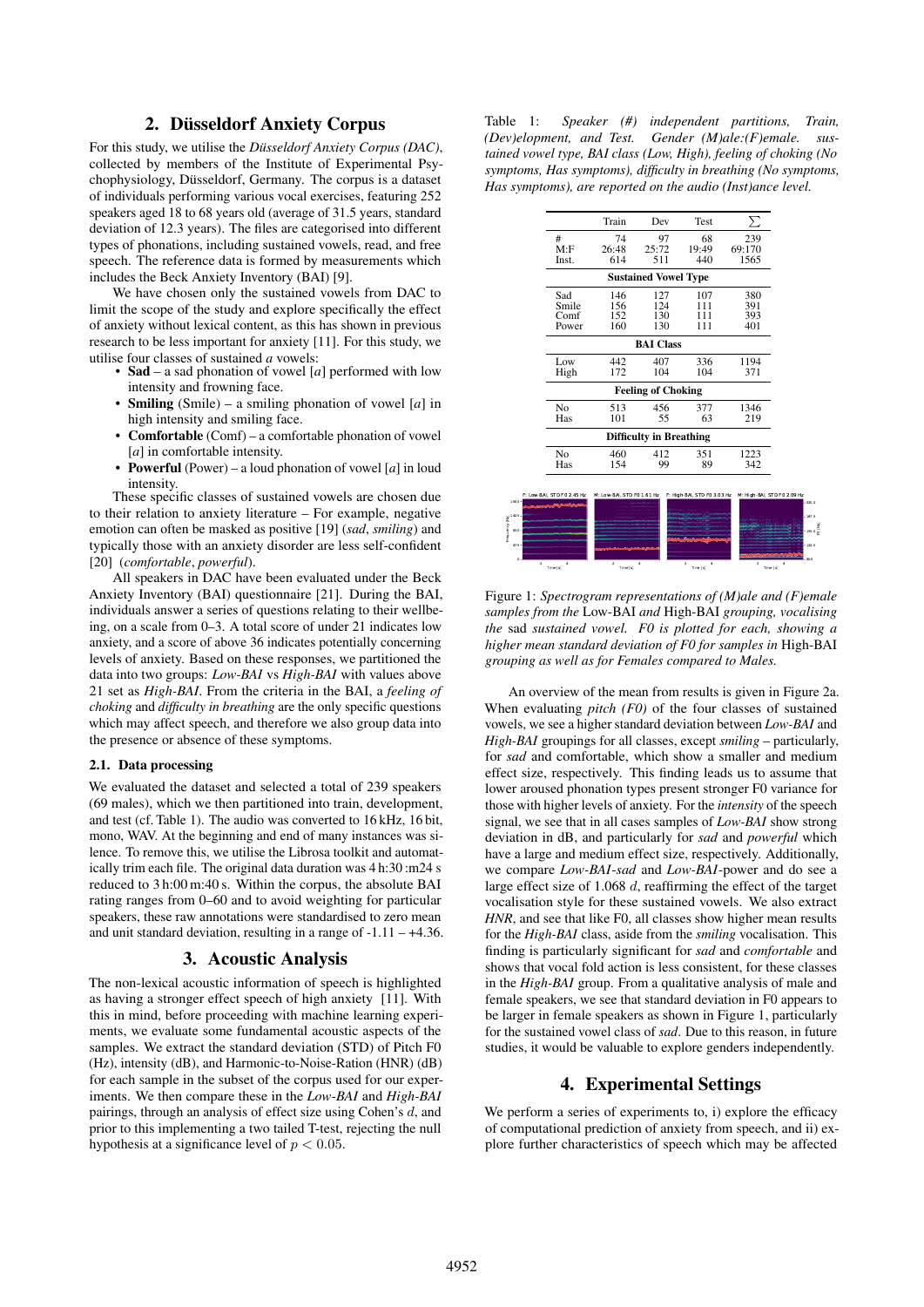## 2. Düsseldorf Anxiety Corpus

For this study, we utilise the *Düsseldorf Anxiety Corpus (DAC)*, collected by members of the Institute of Experimental Psychophysiology, Düsseldorf, Germany. The corpus is a dataset of individuals performing various vocal exercises, featuring 252 speakers aged 18 to 68 years old (average of 31.5 years, standard deviation of 12.3 years). The files are categorised into different types of phonations, including sustained vowels, read, and free speech. The reference data is formed by measurements which includes the Beck Anxiety Inventory (BAI) [9].

We have chosen only the sustained vowels from DAC to limit the scope of the study and explore specifically the effect of anxiety without lexical content, as this has shown in previous research to be less important for anxiety [11]. For this study, we utilise four classes of sustained *a* vowels:

- Sad a sad phonation of vowel [*a*] performed with low intensity and frowning face.
- Smiling (Smile) a smiling phonation of vowel [*a*] in high intensity and smiling face.
- Comfortable (Comf) a comfortable phonation of vowel [*a*] in comfortable intensity.
- **Powerful** (Power) a loud phonation of vowel  $[a]$  in loud intensity.

These specific classes of sustained vowels are chosen due to their relation to anxiety literature – For example, negative emotion can often be masked as positive [19] (*sad*, *smiling*) and typically those with an anxiety disorder are less self-confident [20] (*comfortable*, *powerful*).

All speakers in DAC have been evaluated under the Beck Anxiety Inventory (BAI) questionnaire [21]. During the BAI, individuals answer a series of questions relating to their wellbeing, on a scale from 0–3. A total score of under 21 indicates low anxiety, and a score of above 36 indicates potentially concerning levels of anxiety. Based on these responses, we partitioned the data into two groups: *Low-BAI* vs *High-BAI* with values above 21 set as *High-BAI*. From the criteria in the BAI, a *feeling of choking* and *difficulty in breathing* are the only specific questions which may affect speech, and therefore we also group data into the presence or absence of these symptoms.

#### 2.1. Data processing

We evaluated the dataset and selected a total of 239 speakers (69 males), which we then partitioned into train, development, and test (cf. Table 1). The audio was converted to 16 kHz, 16 bit, mono, WAV. At the beginning and end of many instances was silence. To remove this, we utilise the Librosa toolkit and automatically trim each file. The original data duration was 4 h:30 :m24 s reduced to 3 h:00 m:40 s. Within the corpus, the absolute BAI rating ranges from 0–60 and to avoid weighting for particular speakers, these raw annotations were standardised to zero mean and unit standard deviation, resulting in a range of  $-1.11 - +4.36$ .

## 3. Acoustic Analysis

The non-lexical acoustic information of speech is highlighted as having a stronger effect speech of high anxiety [11]. With this in mind, before proceeding with machine learning experiments, we evaluate some fundamental acoustic aspects of the samples. We extract the standard deviation (STD) of Pitch F0 (Hz), intensity (dB), and Harmonic-to-Noise-Ration (HNR) (dB) for each sample in the subset of the corpus used for our experiments. We then compare these in the *Low-BAI* and *High-BAI* pairings, through an analysis of effect size using Cohen's d, and prior to this implementing a two tailed T-test, rejecting the null hypothesis at a significance level of  $p < 0.05$ .

Table 1: *Speaker (#) independent partitions, Train, (Dev)elopment, and Test. Gender (M)ale:(F)emale. sustained vowel type, BAI class (Low, High), feeling of choking (No symptoms, Has symptoms), difficulty in breathing (No symptoms, Has symptoms), are reported on the audio (Inst)ance level.*

|                | Train      | Dev                            | Test  | Σ      |
|----------------|------------|--------------------------------|-------|--------|
| #              | 74         | 97                             | 68    | 239    |
| M: F           | 26:48      | 25:72                          | 19:49 | 69:170 |
| Inst.          | 614        | 511                            | 440   | 1565   |
|                |            | <b>Sustained Vowel Type</b>    |       |        |
| Sad            | 146        | 127                            | 107   | 380    |
| Smile          | 156        | 124                            | 111   | 391    |
| Comf           | 152        | 130                            | 111   | 393    |
| Power          | 160        | 130                            | 111   | 401    |
|                |            | <b>BAI</b> Class               |       |        |
| Low            | 442        | 407                            | 336   | 1194   |
| High           | 172        | 104                            | 104   | 371    |
|                |            | <b>Feeling of Choking</b>      |       |        |
| N <sub>o</sub> | 513        | 456                            | 377   | 1346   |
| Has            | 101        | 55                             | 63    | 219    |
|                |            | <b>Difficulty in Breathing</b> |       |        |
| No<br>Has      | 460<br>154 | 412<br>99                      | 351   | 1223   |

Figure 1: *Spectrogram representations of (M)ale and (F)emale samples from the* Low-BAI *and* High-BAI *grouping, vocalising the* sad *sustained vowel. F0 is plotted for each, showing a higher mean standard deviation of F0 for samples in* High-BAI *grouping as well as for Females compared to Males.*

Frequency [Hz]

An overview of the mean from results is given in Figure 2a. When evaluating *pitch (F0)* of the four classes of sustained vowels, we see a higher standard deviation between *Low-BAI* and *High-BAI* groupings for all classes, except *smiling* – particularly, for *sad* and comfortable, which show a smaller and medium effect size, respectively. This finding leads us to assume that lower aroused phonation types present stronger F0 variance for those with higher levels of anxiety. For the *intensity* of the speech signal, we see that in all cases samples of *Low-BAI* show strong deviation in dB, and particularly for *sad* and *powerful* which have a large and medium effect size, respectively. Additionally, we compare *Low-BAI*-*sad* and *Low-BAI*-power and do see a large effect size of 1.068 d, reaffirming the effect of the target vocalisation style for these sustained vowels. We also extract *HNR*, and see that like F0, all classes show higher mean results for the *High-BAI* class, aside from the *smiling* vocalisation. This finding is particularly significant for *sad* and *comfortable* and shows that vocal fold action is less consistent, for these classes in the *High-BAI* group. From a qualitative analysis of male and female speakers, we see that standard deviation in F0 appears to be larger in female speakers as shown in Figure 1, particularly for the sustained vowel class of *sad*. Due to this reason, in future studies, it would be valuable to explore genders independently.

## 4. Experimental Settings

We perform a series of experiments to, i) explore the efficacy of computational prediction of anxiety from speech, and ii) explore further characteristics of speech which may be affected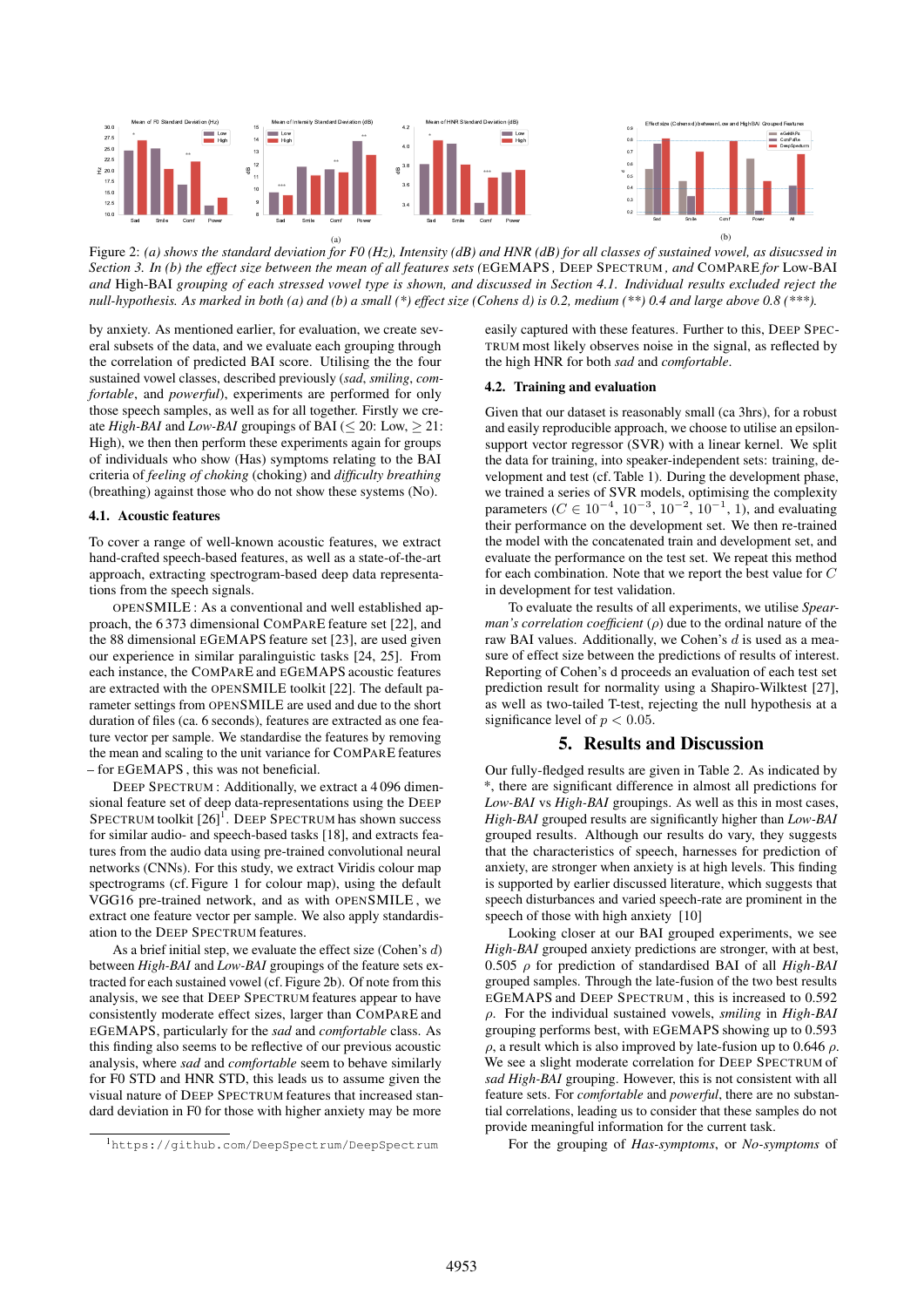

(a) Figure 2: *(a) shows the standard deviation for F0 (Hz), Intensity (dB) and HNR (dB) for all classes of sustained vowel, as disucssed in Section 3. In (b) the effect size between the mean of all features sets (*EGEMAPS *,* DEEP SPECTRUM *, and* COMPARE *for* Low-BAI *and* High-BAI *grouping of each stressed vowel type is shown, and discussed in Section 4.1. Individual results excluded reject the null-hypothesis. As marked in both (a) and (b) a small (\*) effect size (Cohens* d*) is 0.2, medium (\*\*) 0.4 and large above 0.8 (\*\*\*).*

by anxiety. As mentioned earlier, for evaluation, we create several subsets of the data, and we evaluate each grouping through the correlation of predicted BAI score. Utilising the the four sustained vowel classes, described previously (*sad*, *smiling*, *comfortable*, and *powerful*), experiments are performed for only those speech samples, as well as for all together. Firstly we create *High-BAI* and *Low-BAI* groupings of BAI ( $\leq$  20: Low,  $>$  21: High), we then then perform these experiments again for groups of individuals who show (Has) symptoms relating to the BAI criteria of *feeling of choking* (choking) and *difficulty breathing* (breathing) against those who do not show these systems (No).

#### 4.1. Acoustic features

To cover a range of well-known acoustic features, we extract hand-crafted speech-based features, as well as a state-of-the-art approach, extracting spectrogram-based deep data representations from the speech signals.

OPENSMILE : As a conventional and well established approach, the 6 373 dimensional COMPARE feature set [22], and the 88 dimensional EGEMAPS feature set [23], are used given our experience in similar paralinguistic tasks [24, 25]. From each instance, the COMPARE and EGEMAPS acoustic features are extracted with the OPENSMILE toolkit [22]. The default parameter settings from OPENSMILE are used and due to the short duration of files (ca. 6 seconds), features are extracted as one feature vector per sample. We standardise the features by removing the mean and scaling to the unit variance for COMPARE features – for EGEMAPS , this was not beneficial.

DEEP SPECTRUM : Additionally, we extract a 4 096 dimensional feature set of deep data-representations using the DEEP SPECTRUM toolkit [26]<sup>1</sup>. DEEP SPECTRUM has shown success for similar audio- and speech-based tasks [18], and extracts features from the audio data using pre-trained convolutional neural networks (CNNs). For this study, we extract Viridis colour map spectrograms (cf. Figure 1 for colour map), using the default VGG16 pre-trained network, and as with OPENSMILE , we extract one feature vector per sample. We also apply standardisation to the DEEP SPECTRUM features.

As a brief initial step, we evaluate the effect size (Cohen's d) between *High-BAI* and *Low-BAI* groupings of the feature sets extracted for each sustained vowel (cf. Figure 2b). Of note from this analysis, we see that DEEP SPECTRUM features appear to have consistently moderate effect sizes, larger than COMPARE and EGEMAPS, particularly for the *sad* and *comfortable* class. As this finding also seems to be reflective of our previous acoustic analysis, where *sad* and *comfortable* seem to behave similarly for F0 STD and HNR STD, this leads us to assume given the visual nature of DEEP SPECTRUM features that increased standard deviation in F0 for those with higher anxiety may be more

<sup>1</sup>https://github.com/DeepSpectrum/DeepSpectrum

easily captured with these features. Further to this, DEEP SPEC-TRUM most likely observes noise in the signal, as reflected by the high HNR for both *sad* and *comfortable*.

#### 4.2. Training and evaluation

Given that our dataset is reasonably small (ca 3hrs), for a robust and easily reproducible approach, we choose to utilise an epsilonsupport vector regressor (SVR) with a linear kernel. We split the data for training, into speaker-independent sets: training, development and test (cf. Table 1). During the development phase, we trained a series of SVR models, optimising the complexity parameters ( $C \in 10^{-4}$ ,  $10^{-3}$ ,  $10^{-2}$ ,  $10^{-1}$ , 1), and evaluating their performance on the development set. We then re-trained the model with the concatenated train and development set, and evaluate the performance on the test set. We repeat this method for each combination. Note that we report the best value for C in development for test validation.

To evaluate the results of all experiments, we utilise *Spearman's correlation coefficient* (*ρ*) due to the ordinal nature of the raw BAI values. Additionally, we Cohen's  $d$  is used as a measure of effect size between the predictions of results of interest. Reporting of Cohen's d proceeds an evaluation of each test set prediction result for normality using a Shapiro-Wilktest [27], as well as two-tailed T-test, rejecting the null hypothesis at a significance level of  $p < 0.05$ .

## 5. Results and Discussion

Our fully-fledged results are given in Table 2. As indicated by \*, there are significant difference in almost all predictions for *Low-BAI* vs *High-BAI* groupings. As well as this in most cases, *High-BAI* grouped results are significantly higher than *Low-BAI* grouped results. Although our results do vary, they suggests that the characteristics of speech, harnesses for prediction of anxiety, are stronger when anxiety is at high levels. This finding is supported by earlier discussed literature, which suggests that speech disturbances and varied speech-rate are prominent in the speech of those with high anxiety [10]

Looking closer at our BAI grouped experiments, we see *High-BAI* grouped anxiety predictions are stronger, with at best, 0.505 ρ for prediction of standardised BAI of all *High-BAI* grouped samples. Through the late-fusion of the two best results EGEMAPS and DEEP SPECTRUM , this is increased to 0.592 ρ. For the individual sustained vowels, *smiling* in *High-BAI* grouping performs best, with EGEMAPS showing up to 0.593 ρ, a result which is also improved by late-fusion up to 0.646 ρ. We see a slight moderate correlation for DEEP SPECTRUM of *sad High-BAI* grouping. However, this is not consistent with all feature sets. For *comfortable* and *powerful*, there are no substantial correlations, leading us to consider that these samples do not provide meaningful information for the current task.

For the grouping of *Has-symptoms*, or *No-symptoms* of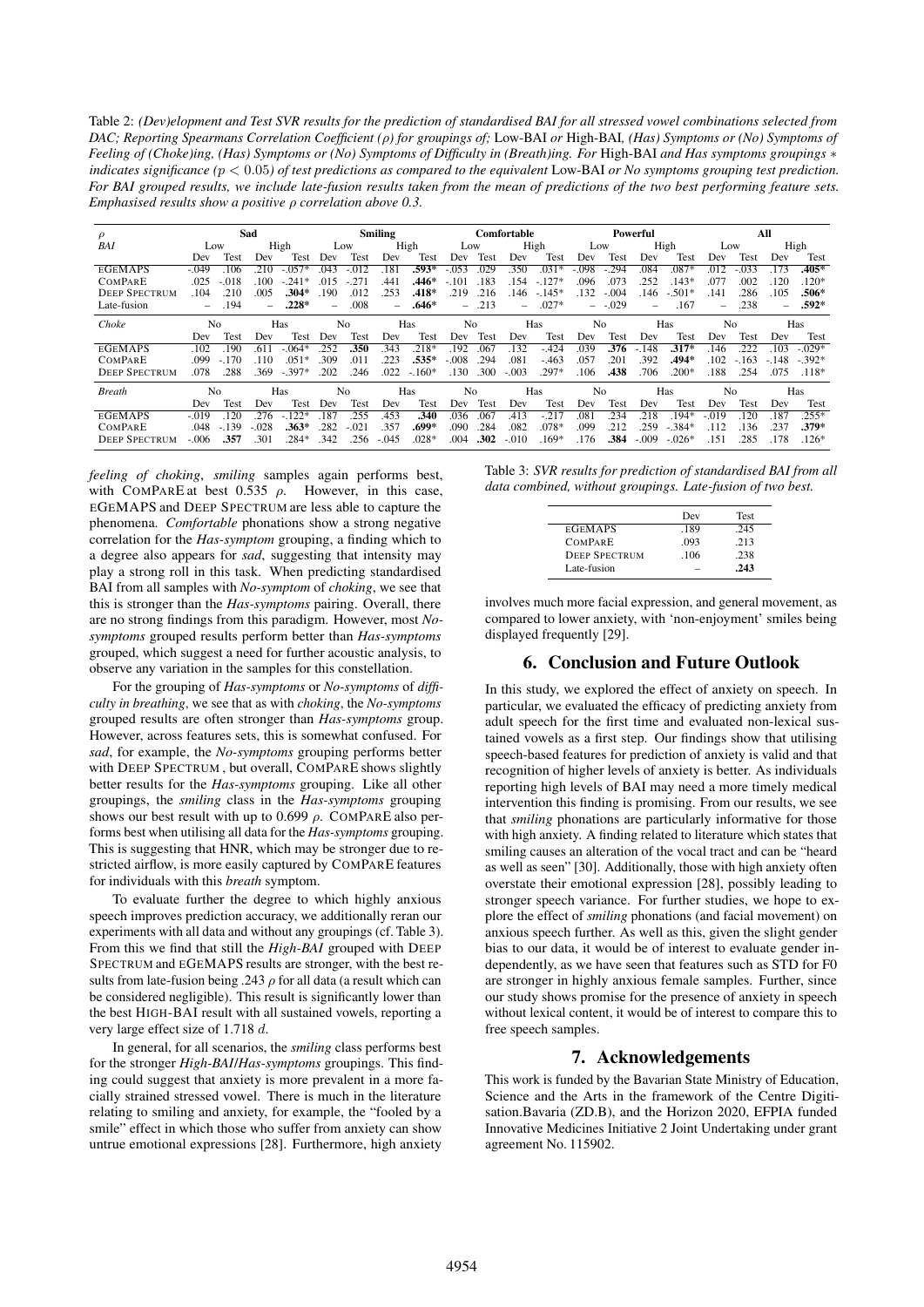Table 2: *(Dev)elopment and Test SVR results for the prediction of standardised BAI for all stressed vowel combinations selected from DAC; Reporting Spearmans Correlation Coefficient (*ρ*) for groupings of;* Low-BAI *or* High-BAI*, (Has) Symptoms or (No) Symptoms of Feeling of (Choke)ing, (Has) Symptoms or (No) Symptoms of Difficulty in (Breath)ing. For* High-BAI *and Has symptoms groupings* ∗ *indicates significance (*p < 0.05*) of test predictions as compared to the equivalent* Low-BAI *or No symptoms grouping test prediction. For BAI grouped results, we include late-fusion results taken from the mean of predictions of the two best performing feature sets. Emphasised results show a positive* ρ *correlation above 0.3.*

| $\rho$               | Sad            |         |         | <b>Smiling</b> |           |              | Comfortable           |         |                | Powerful |          |          |                | All      |          |           |         |         |                          |          |
|----------------------|----------------|---------|---------|----------------|-----------|--------------|-----------------------|---------|----------------|----------|----------|----------|----------------|----------|----------|-----------|---------|---------|--------------------------|----------|
| BAI                  | Low            |         |         | High           |           | Low          |                       | High    | Low            |          |          | High     | Low            |          |          | High      | Low     |         |                          | High     |
|                      | Dev            | Test    | Dev     | Test           | Dev       | Test         | Dev                   | Test    | Dev            | Test     | Dev      | Test     | Dev            | Test     | Dev      | Test      | Dev     | Test    | Dev                      | Test     |
| <b>EGEMAPS</b>       | $-.049$        | 106     | 210     | $.057*$        | 043       | . 012        | 181                   | $.593*$ | $-.053$        | 029      | 350      | $.031*$  | $-.098$        | .294     | .084     | $.087*$   | .012    | .033    | 173                      | $.405*$  |
| <b>COMPARE</b>       | .025           | $-.018$ | 100     | $-.241*$       | 015       | $-27$        | .441                  | .446*   | $-.101$        | .183     | 154      | $-.127*$ | .096           | .073     | 252      | $143*$    | .077    | .002    | 120                      | $120*$   |
| <b>DEEP SPECTRUM</b> | .104           | .210    | .005    | .304*          | 190       | .012         | .253                  | $.418*$ | .219           | .216     | 146      | $-.145*$ | .132           | $-.004$  | 146      | $-.501*$  | .141    | .286    | .105                     | $.506*$  |
| Late-fusion          |                | .194    |         | $.228*$        | -         | .008         | $=$                   | .646*   | $\equiv$       | .213     | $\equiv$ | $.027*$  |                | $--.029$ | $\equiv$ | .167      |         | .238    | $\overline{\phantom{0}}$ | $.592*$  |
| Choke                | N <sub>0</sub> |         | Has     |                | No<br>Has |              | N <sub>0</sub><br>Has |         | N <sub>0</sub> |          | Has      |          | No             |          | Has      |           |         |         |                          |          |
|                      | Dev            | Test    | Dev     | Test           | Dev       | Test         | Dev                   | Test    | Dev            | Test     | Dev      | Test     | Dev            | Test     | Dev      | Test      | Dev     | Test    | Dev                      | Test     |
| <b>EGEMAPS</b>       | .102           | 190     | 611     | $.064*$        | 252       | 350          | 343                   | $.218*$ | 192            | .067     | 132      | $-0.424$ | .039           | .376     | 148      | $.317*$   | 146     | 222     | 103                      | $-.029*$ |
| <b>COMPARE</b>       | .099           | $-.170$ | 110     | $.051*$        | .309      | .01          | .223                  | $.535*$ | $-.008$        | .294     | .081     | $-.463$  | .057           | .201     | .392     | .494*     | .102    | $-.163$ | $-.148$                  | $-.392*$ |
| <b>DEEP SPECTRUM</b> | .078           | 288     | 369     | $-.397*$       | .202      | .246         | .022                  | $-160*$ | .130           | .300     | $-.003$  | .297*    | .106           | .438     | .706     | $200*$    | .188    | .254    | .075                     | $.118*$  |
| <b>Breath</b>        | N <sub>0</sub> |         |         | Has            |           | No           |                       | Has     | No             |          |          | Has      | N <sub>0</sub> |          |          | Has       | No      |         |                          | Has      |
|                      | Dev            | Test    | Dev     | Test           | Dev       | Test         | Dev                   | Test    | Dev            | Test     | Dev      | Test     | Dev            | Test     | Dev      | Test      | Dev     | Test    | Dev                      | Test     |
| <b>EGEMAPS</b>       | $-.019$        | 120     | 276     | $-122*$        | .187      | .255         | .453                  | .340    | .036           | .067     | 413      | $-.217$  | .081           | 234      | .218     | $.194*$   | $-.019$ | .120    | .187                     | $.255*$  |
| <b>COMPARE</b>       | .048           | $-.139$ | $-.028$ | .363*          | .282      | $-.02^\circ$ | .357                  | .699*   | .090           | .284     | .082     | $.078*$  | .099           | 212      | .259     | $-.384*$  | .112    | .136    | 237                      | $.379*$  |
| <b>DEEP SPECTRUM</b> | $-.006$        | .357    | 301     | 284*           | 342       | 256          | $-.045$               | $.028*$ | .004           | .302     | $-.010$  | $169*$   | .176           | 384      | $-.009$  | $-0.026*$ | 151     | .285    | 178                      | $.126*$  |

*feeling of choking*, *smiling* samples again performs best, with COMPARE at best 0.535  $\rho$ . However, in this case, EGEMAPS and DEEP SPECTRUM are less able to capture the phenomena. *Comfortable* phonations show a strong negative correlation for the *Has-symptom* grouping, a finding which to a degree also appears for *sad*, suggesting that intensity may play a strong roll in this task. When predicting standardised BAI from all samples with *No-symptom* of *choking*, we see that this is stronger than the *Has-symptoms* pairing. Overall, there are no strong findings from this paradigm. However, most *Nosymptoms* grouped results perform better than *Has-symptoms* grouped, which suggest a need for further acoustic analysis, to observe any variation in the samples for this constellation.

For the grouping of *Has-symptoms* or *No-symptoms* of *difficulty in breathing*, we see that as with *choking*, the *No-symptoms* grouped results are often stronger than *Has-symptoms* group. However, across features sets, this is somewhat confused. For *sad*, for example, the *No-symptoms* grouping performs better with DEEP SPECTRUM , but overall, COMPARE shows slightly better results for the *Has-symptoms* grouping. Like all other groupings, the *smiling* class in the *Has-symptoms* grouping shows our best result with up to 0.699  $\rho$ . COMPARE also performs best when utilising all data for the *Has-symptoms* grouping. This is suggesting that HNR, which may be stronger due to restricted airflow, is more easily captured by COMPARE features for individuals with this *breath* symptom.

To evaluate further the degree to which highly anxious speech improves prediction accuracy, we additionally reran our experiments with all data and without any groupings (cf. Table 3). From this we find that still the *High-BAI* grouped with DEEP SPECTRUM and EGEMAPS results are stronger, with the best results from late-fusion being .243  $\rho$  for all data (a result which can be considered negligible). This result is significantly lower than the best HIGH-BAI result with all sustained vowels, reporting a very large effect size of 1.718 d.

In general, for all scenarios, the *smiling* class performs best for the stronger *High-BAI*/*Has-symptoms* groupings. This finding could suggest that anxiety is more prevalent in a more facially strained stressed vowel. There is much in the literature relating to smiling and anxiety, for example, the "fooled by a smile" effect in which those who suffer from anxiety can show untrue emotional expressions [28]. Furthermore, high anxiety

Table 3: *SVR results for prediction of standardised BAI from all data combined, without groupings. Late-fusion of two best.*

|                      | Dev  | <b>Test</b> |
|----------------------|------|-------------|
| <b>EGEMAPS</b>       | .189 | .245        |
| <b>COMPARE</b>       | .093 | .213        |
| <b>DEEP SPECTRUM</b> | .106 | .238        |
| Late-fusion          |      | .243        |

involves much more facial expression, and general movement, as compared to lower anxiety, with 'non-enjoyment' smiles being displayed frequently [29].

## 6. Conclusion and Future Outlook

In this study, we explored the effect of anxiety on speech. In particular, we evaluated the efficacy of predicting anxiety from adult speech for the first time and evaluated non-lexical sustained vowels as a first step. Our findings show that utilising speech-based features for prediction of anxiety is valid and that recognition of higher levels of anxiety is better. As individuals reporting high levels of BAI may need a more timely medical intervention this finding is promising. From our results, we see that *smiling* phonations are particularly informative for those with high anxiety. A finding related to literature which states that smiling causes an alteration of the vocal tract and can be "heard as well as seen" [30]. Additionally, those with high anxiety often overstate their emotional expression [28], possibly leading to stronger speech variance. For further studies, we hope to explore the effect of *smiling* phonations (and facial movement) on anxious speech further. As well as this, given the slight gender bias to our data, it would be of interest to evaluate gender independently, as we have seen that features such as STD for F0 are stronger in highly anxious female samples. Further, since our study shows promise for the presence of anxiety in speech without lexical content, it would be of interest to compare this to free speech samples.

## 7. Acknowledgements

This work is funded by the Bavarian State Ministry of Education, Science and the Arts in the framework of the Centre Digitisation.Bavaria (ZD.B), and the Horizon 2020, EFPIA funded Innovative Medicines Initiative 2 Joint Undertaking under grant agreement No. 115902.